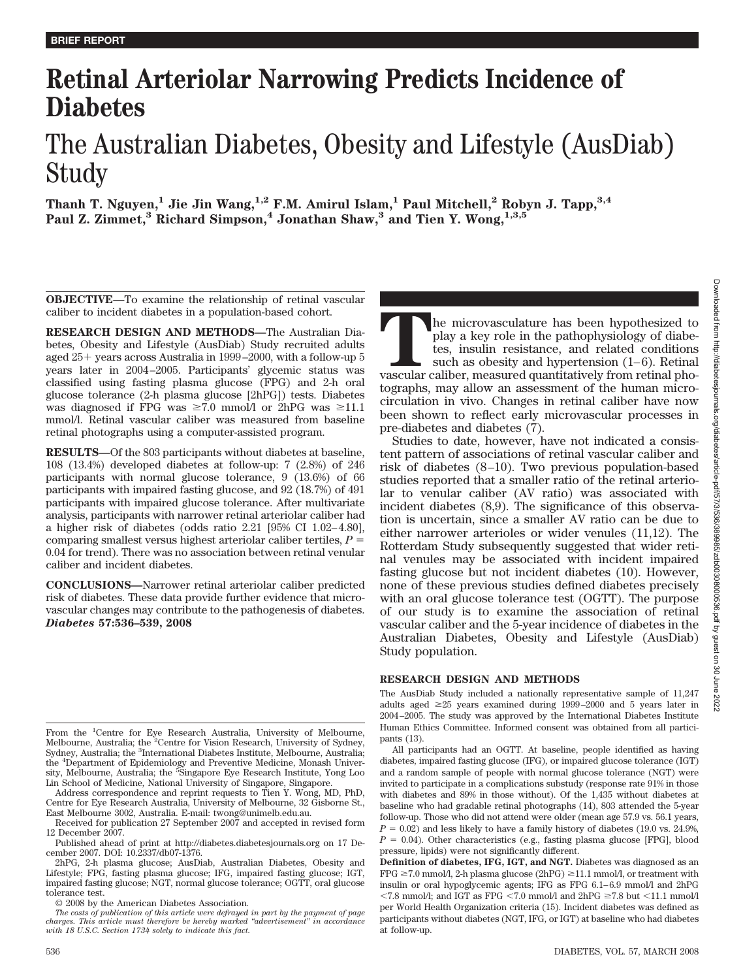# **Retinal Arteriolar Narrowing Predicts Incidence of Diabetes**

# The Australian Diabetes, Obesity and Lifestyle (AusDiab) Study

**Thanh T. Nguyen,1 Jie Jin Wang,1,2 F.M. Amirul Islam,1 Paul Mitchell,2 Robyn J. Tapp,3,4** Paul Z. Zimmet,<sup>3</sup> Richard Simpson,<sup>4</sup> Jonathan Shaw,<sup>3</sup> and Tien Y. Wong,<sup>1,3,5</sup>

**OBJECTIVE—**To examine the relationship of retinal vascular caliber to incident diabetes in a population-based cohort.

**RESEARCH DESIGN AND METHODS—**The Australian Diabetes, Obesity and Lifestyle (AusDiab) Study recruited adults aged 25+ years across Australia in 1999–2000, with a follow-up 5 years later in 2004–2005. Participants' glycemic status was classified using fasting plasma glucose (FPG) and 2-h oral glucose tolerance (2-h plasma glucose [2hPG]) tests. Diabetes was diagnosed if FPG was  $\geq 7.0$  mmol/l or 2hPG was  $\geq 11.1$ mmol/l. Retinal vascular caliber was measured from baseline retinal photographs using a computer-assisted program.

**RESULTS—**Of the 803 participants without diabetes at baseline, 108 (13.4%) developed diabetes at follow-up: 7 (2.8%) of 246 participants with normal glucose tolerance, 9 (13.6%) of 66 participants with impaired fasting glucose, and 92 (18.7%) of 491 participants with impaired glucose tolerance. After multivariate analysis, participants with narrower retinal arteriolar caliber had a higher risk of diabetes (odds ratio 2.21 [95% CI 1.02–4.80], comparing smallest versus highest arteriolar caliber tertiles,  $P =$ 0.04 for trend). There was no association between retinal venular caliber and incident diabetes.

**CONCLUSIONS—**Narrower retinal arteriolar caliber predicted risk of diabetes. These data provide further evidence that microvascular changes may contribute to the pathogenesis of diabetes. *Diabetes* **57:536–539, 2008**

From the <sup>1</sup>Centre for Eye Research Australia, University of Melbourne, Melbourne, Australia; the <sup>2</sup>Centre for Vision Research, University of Sydney, Sydney, Australia; the <sup>3</sup>International Diabetes Institute, Melbourne, Australia; the <sup>4</sup> Department of Epidemiology and Preventive Medicine, Monash University, Melbourne, Australia; the <sup>5</sup>Singapore Eye Research Institute, Yong Loo Lin School of Medicine, National University of Singapore, Singapore.

Address correspondence and reprint requests to Tien Y. Wong, MD, PhD, Centre for Eye Research Australia, University of Melbourne, 32 Gisborne St., East Melbourne 3002, Australia. E-mail: twong@unimelb.edu.au.

Received for publication 27 September 2007 and accepted in revised form 12 December 2007.

Published ahead of print at http://diabetes.diabetesjournals.org on 17 December 2007. DOI: 10.2337/db07-1376.

2hPG, 2-h plasma glucose; AusDiab, Australian Diabetes, Obesity and Lifestyle; FPG, fasting plasma glucose; IFG, impaired fasting glucose; IGT, impaired fasting glucose; NGT, normal glucose tolerance; OGTT, oral glucose tolerance test.

© 2008 by the American Diabetes Association.

*The costs of publication of this article were defrayed in part by the payment of page charges. This article must therefore be hereby marked "advertisement" in accordance with 18 U.S.C. Section 1734 solely to indicate this fact.*

The microvasculature has been hypothesized to play a key role in the pathophysiology of diabetes, insulin resistance, and related conditions such as obesity and hypertension (1–6). Retinal vascular caliber, measured quanti play a key role in the pathophysiology of diabetes, insulin resistance, and related conditions such as obesity and hypertension (1–6). Retinal tographs, may allow an assessment of the human microcirculation in vivo. Changes in retinal caliber have now been shown to reflect early microvascular processes in pre-diabetes and diabetes (7).

Studies to date, however, have not indicated a consistent pattern of associations of retinal vascular caliber and risk of diabetes (8–10). Two previous population-based studies reported that a smaller ratio of the retinal arteriolar to venular caliber (AV ratio) was associated with incident diabetes (8,9). The significance of this observation is uncertain, since a smaller AV ratio can be due to either narrower arterioles or wider venules (11,12). The Rotterdam Study subsequently suggested that wider retinal venules may be associated with incident impaired fasting glucose but not incident diabetes (10). However, none of these previous studies defined diabetes precisely with an oral glucose tolerance test (OGTT). The purpose of our study is to examine the association of retinal vascular caliber and the 5-year incidence of diabetes in the Australian Diabetes, Obesity and Lifestyle (AusDiab) Study population.

## **RESEARCH DESIGN AND METHODS**

The AusDiab Study included a nationally representative sample of 11,247 adults aged  $\geq 25$  years examined during 1999–2000 and 5 years later in 2004–2005. The study was approved by the International Diabetes Institute Human Ethics Committee. Informed consent was obtained from all participants (13).

All participants had an OGTT. At baseline, people identified as having diabetes, impaired fasting glucose (IFG), or impaired glucose tolerance (IGT) and a random sample of people with normal glucose tolerance (NGT) were invited to participate in a complications substudy (response rate 91% in those with diabetes and 89% in those without). Of the 1,435 without diabetes at baseline who had gradable retinal photographs (14), 803 attended the 5-year follow-up. Those who did not attend were older (mean age 57.9 vs. 56.1 years,  $P = 0.02$ ) and less likely to have a family history of diabetes (19.0 vs. 24.9%,  $P = 0.04$ ). Other characteristics (e.g., fasting plasma glucose [FPG], blood pressure, lipids) were not significantly different.

**Definition of diabetes, IFG, IGT, and NGT.** Diabetes was diagnosed as an FPG  $\geq$  7.0 mmol/l, 2-h plasma glucose (2hPG)  $\geq$  11.1 mmol/l, or treatment with insulin or oral hypoglycemic agents; IFG as FPG 6.1–6.9 mmol/l and 2hPG  $\langle 7.8 \text{ mmol/}$ ! and IGT as FPG  $\langle 7.0 \text{ mmol/} \rangle$  and  $2hPG \ge 7.8$  but  $\langle 11.1 \text{ mmol/} \rangle$ per World Health Organization criteria (15). Incident diabetes was defined as participants without diabetes (NGT, IFG, or IGT) at baseline who had diabetes at follow-up.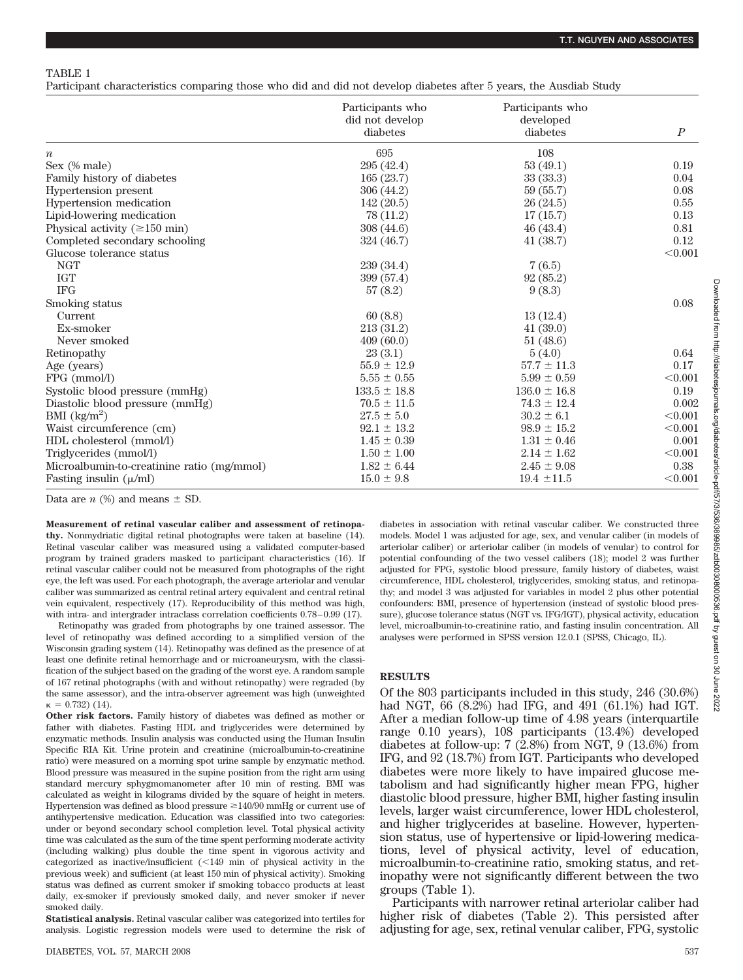Participant characteristics comparing those who did and did not develop diabetes after 5 years, the Ausdiab Study

|                                            | Participants who<br>did not develop | Participants who<br>developed |                  |
|--------------------------------------------|-------------------------------------|-------------------------------|------------------|
|                                            | diabetes                            | diabetes                      | $\boldsymbol{P}$ |
| $\boldsymbol{n}$                           | 695                                 | 108                           |                  |
| Sex (% male)                               | 295 (42.4)                          | 53(49.1)                      | 0.19             |
| Family history of diabetes                 | 165(23.7)                           | 33(33.3)                      | 0.04             |
| Hypertension present                       | 306 (44.2)                          | 59 (55.7)                     | 0.08             |
| Hypertension medication                    | 142 (20.5)                          | 26(24.5)                      | 0.55             |
| Lipid-lowering medication                  | 78 (11.2)                           | 17(15.7)                      | 0.13             |
| Physical activity ( $\geq 150$ min)        | 308(44.6)                           | 46(43.4)                      | 0.81             |
| Completed secondary schooling              | 324 (46.7)                          | 41(38.7)                      | 0.12             |
| Glucose tolerance status                   |                                     |                               | < 0.001          |
| <b>NGT</b>                                 | 239(34.4)                           | 7(6.5)                        |                  |
| <b>IGT</b>                                 | 399 (57.4)                          | 92(85.2)                      |                  |
| <b>IFG</b>                                 | 57(8.2)                             | 9(8.3)                        |                  |
| Smoking status                             |                                     |                               | 0.08             |
| Current                                    | 60(8.8)                             | 13(12.4)                      |                  |
| Ex-smoker                                  | 213 (31.2)                          | 41(39.0)                      |                  |
| Never smoked                               | 409(60.0)                           | 51(48.6)                      |                  |
| Retinopathy                                | 23(3.1)                             | 5(4.0)                        | 0.64             |
| Age (years)                                | $55.9 \pm 12.9$                     | $57.7 \pm 11.3$               | 0.17             |
| FPG (mmol/l)                               | $5.55 \pm 0.55$                     | $5.99 \pm 0.59$               | < 0.001          |
| Systolic blood pressure (mmHg)             | $133.5 \pm 18.8$                    | $136.0 \pm 16.8$              | 0.19             |
| Diastolic blood pressure (mmHg)            | $70.5 \pm 11.5$                     | $74.3 \pm 12.4$               | 0.002            |
| BMI $(kg/m2)$                              | $27.5 \pm 5.0$                      | $30.2 \pm 6.1$                | < 0.001          |
| Waist circumference (cm)                   | $92.1 \pm 13.2$                     | $98.9 \pm 15.2$               | < 0.001          |
| HDL cholesterol (mmol/l)                   | $1.45 \pm 0.39$                     | $1.31 \pm 0.46$               | 0.001            |
| Triglycerides (mmol/l)                     | $1.50 \pm 1.00$                     | $2.14 \pm 1.62$               | < 0.001          |
| Microalbumin-to-creatinine ratio (mg/mmol) | $1.82 \pm 6.44$                     | $2.45 \pm 9.08$               | 0.38             |
| Fasting insulin $(\mu/ml)$                 | $15.0 \pm 9.8$                      | $19.4 \pm 11.5$               | < 0.001          |

Data are  $n$  (%) and means  $\pm$  SD.

**Measurement of retinal vascular caliber and assessment of retinopathy.** Nonmydriatic digital retinal photographs were taken at baseline (14). Retinal vascular caliber was measured using a validated computer-based program by trained graders masked to participant characteristics (16). If retinal vascular caliber could not be measured from photographs of the right eye, the left was used. For each photograph, the average arteriolar and venular caliber was summarized as central retinal artery equivalent and central retinal vein equivalent, respectively (17). Reproducibility of this method was high, with intra- and intergrader intraclass correlation coefficients 0.78–0.99 (17).

Retinopathy was graded from photographs by one trained assessor. The level of retinopathy was defined according to a simplified version of the Wisconsin grading system (14). Retinopathy was defined as the presence of at least one definite retinal hemorrhage and or microaneurysm, with the classification of the subject based on the grading of the worst eye. A random sample of 167 retinal photographs (with and without retinopathy) were regraded (by the same assessor), and the intra-observer agreement was high (unweighted  $\kappa = 0.732$ ) (14).

**Other risk factors.** Family history of diabetes was defined as mother or father with diabetes. Fasting HDL and triglycerides were determined by enzymatic methods. Insulin analysis was conducted using the Human Insulin Specific RIA Kit. Urine protein and creatinine (microalbumin-to-creatinine ratio) were measured on a morning spot urine sample by enzymatic method. Blood pressure was measured in the supine position from the right arm using standard mercury sphygmomanometer after 10 min of resting. BMI was calculated as weight in kilograms divided by the square of height in meters. Hypertension was defined as blood pressure  $\geq$ 140/90 mmHg or current use of antihypertensive medication. Education was classified into two categories: under or beyond secondary school completion level. Total physical activity time was calculated as the sum of the time spent performing moderate activity (including walking) plus double the time spent in vigorous activity and categorized as inactive/insufficient  $\left($  <149 min of physical activity in the previous week) and sufficient (at least 150 min of physical activity). Smoking status was defined as current smoker if smoking tobacco products at least daily, ex-smoker if previously smoked daily, and never smoker if never smoked daily.

**Statistical analysis.** Retinal vascular caliber was categorized into tertiles for analysis. Logistic regression models were used to determine the risk of diabetes in association with retinal vascular caliber. We constructed three models. Model 1 was adjusted for age, sex, and venular caliber (in models of arteriolar caliber) or arteriolar caliber (in models of venular) to control for potential confounding of the two vessel calibers (18); model 2 was further adjusted for FPG, systolic blood pressure, family history of diabetes, waist circumference, HDL cholesterol, triglycerides, smoking status, and retinopathy; and model 3 was adjusted for variables in model 2 plus other potential confounders: BMI, presence of hypertension (instead of systolic blood pressure), glucose tolerance status (NGT vs. IFG/IGT), physical activity, education level, microalbumin-to-creatinine ratio, and fasting insulin concentration. All analyses were performed in SPSS version 12.0.1 (SPSS, Chicago, IL).

## **RESULTS**

Of the 803 participants included in this study, 246 (30.6%) had NGT, 66 (8.2%) had IFG, and 491 (61.1%) had IGT. After a median follow-up time of 4.98 years (interquartile range 0.10 years), 108 participants (13.4%) developed diabetes at follow-up: 7 (2.8%) from NGT, 9 (13.6%) from IFG, and 92 (18.7%) from IGT. Participants who developed diabetes were more likely to have impaired glucose metabolism and had significantly higher mean FPG, higher diastolic blood pressure, higher BMI, higher fasting insulin levels, larger waist circumference, lower HDL cholesterol, and higher triglycerides at baseline. However, hypertension status, use of hypertensive or lipid-lowering medications, level of physical activity, level of education, microalbumin-to-creatinine ratio, smoking status, and retinopathy were not significantly different between the two groups (Table 1).

Participants with narrower retinal arteriolar caliber had higher risk of diabetes (Table 2). This persisted after adjusting for age, sex, retinal venular caliber, FPG, systolic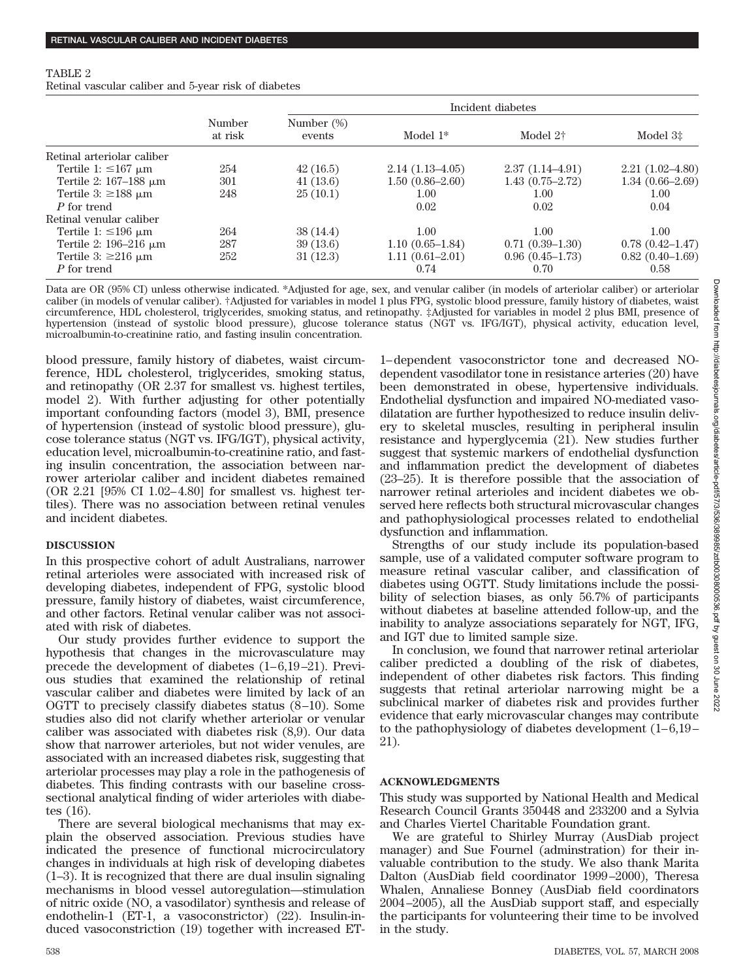#### TABLE 2

Retinal vascular caliber and 5-year risk of diabetes

|                               | Number<br>at risk | Incident diabetes    |                     |                      |                                     |  |
|-------------------------------|-------------------|----------------------|---------------------|----------------------|-------------------------------------|--|
|                               |                   | Number (%)<br>events | Model $1*$          | Model 2 <sup>†</sup> | Model 3 <sup><math>\pm</math></sup> |  |
| Retinal arteriolar caliber    |                   |                      |                     |                      |                                     |  |
| Tertile 1: $\leq 167 \mu m$   | 254               | 42(16.5)             | $2.14(1.13-4.05)$   | $2.37(1.14 - 4.91)$  | $2.21(1.02 - 4.80)$                 |  |
| Tertile 2: $167-188 \mu m$    | 301               | 41(13.6)             | $1.50(0.86-2.60)$   | $1.43(0.75 - 2.72)$  | $1.34(0.66-2.69)$                   |  |
| Tertile 3: $\geq$ 188 $\mu$ m | 248               | 25(10.1)             | $1.00\,$            | 1.00                 | 1.00                                |  |
| P for trend                   |                   |                      | 0.02                | 0.02                 | 0.04                                |  |
| Retinal venular caliber       |                   |                      |                     |                      |                                     |  |
| Tertile 1: $\leq$ 196 µm      | 264               | 38(14.4)             | 1.00                | 1.00                 | 1.00                                |  |
| Tertile 2: $196-216 \mu m$    | 287               | 39(13.6)             | $1.10(0.65-1.84)$   | $0.71(0.39-1.30)$    | $0.78(0.42 - 1.47)$                 |  |
| Tertile 3: $\geq 216 \mu m$   | 252               | 31(12.3)             | $1.11(0.61 - 2.01)$ | $0.96(0.45-1.73)$    | $0.82(0.40-1.69)$                   |  |
| P for trend                   |                   |                      | 0.74                | 0.70                 | 0.58                                |  |

Data are OR (95% CI) unless otherwise indicated. \*Adjusted for age, sex, and venular caliber (in models of arteriolar caliber) or arteriolar caliber (in models of venular caliber). †Adjusted for variables in model 1 plus FPG, systolic blood pressure, family history of diabetes, waist circumference, HDL cholesterol, triglycerides, smoking status, and retinopathy. ‡Adjusted for variables in model 2 plus BMI, presence of hypertension (instead of systolic blood pressure), glucose tolerance status (NGT vs. IFG/IGT), physical activity, education level, microalbumin-to-creatinine ratio, and fasting insulin concentration.

blood pressure, family history of diabetes, waist circumference, HDL cholesterol, triglycerides, smoking status, and retinopathy (OR 2.37 for smallest vs. highest tertiles, model 2). With further adjusting for other potentially important confounding factors (model 3), BMI, presence of hypertension (instead of systolic blood pressure), glucose tolerance status (NGT vs. IFG/IGT), physical activity, education level, microalbumin-to-creatinine ratio, and fasting insulin concentration, the association between narrower arteriolar caliber and incident diabetes remained (OR 2.21 [95% CI 1.02–4.80] for smallest vs. highest tertiles). There was no association between retinal venules and incident diabetes.

### **DISCUSSION**

In this prospective cohort of adult Australians, narrower retinal arterioles were associated with increased risk of developing diabetes, independent of FPG, systolic blood pressure, family history of diabetes, waist circumference, and other factors. Retinal venular caliber was not associated with risk of diabetes.

Our study provides further evidence to support the hypothesis that changes in the microvasculature may precede the development of diabetes (1–6,19–21). Previous studies that examined the relationship of retinal vascular caliber and diabetes were limited by lack of an OGTT to precisely classify diabetes status (8–10). Some studies also did not clarify whether arteriolar or venular caliber was associated with diabetes risk (8,9). Our data show that narrower arterioles, but not wider venules, are associated with an increased diabetes risk, suggesting that arteriolar processes may play a role in the pathogenesis of diabetes. This finding contrasts with our baseline crosssectional analytical finding of wider arterioles with diabetes (16).

There are several biological mechanisms that may explain the observed association. Previous studies have indicated the presence of functional microcirculatory changes in individuals at high risk of developing diabetes (1–3). It is recognized that there are dual insulin signaling mechanisms in blood vessel autoregulation—stimulation of nitric oxide (NO, a vasodilator) synthesis and release of endothelin-1 (ET-1, a vasoconstrictor) (22). Insulin-induced vasoconstriction (19) together with increased ET-

1–dependent vasoconstrictor tone and decreased NOdependent vasodilator tone in resistance arteries (20) have been demonstrated in obese, hypertensive individuals. Endothelial dysfunction and impaired NO-mediated vasodilatation are further hypothesized to reduce insulin delivery to skeletal muscles, resulting in peripheral insulin resistance and hyperglycemia (21). New studies further suggest that systemic markers of endothelial dysfunction and inflammation predict the development of diabetes (23–25). It is therefore possible that the association of narrower retinal arterioles and incident diabetes we observed here reflects both structural microvascular changes and pathophysiological processes related to endothelial dysfunction and inflammation.

Strengths of our study include its population-based sample, use of a validated computer software program to measure retinal vascular caliber, and classification of diabetes using OGTT. Study limitations include the possibility of selection biases, as only 56.7% of participants without diabetes at baseline attended follow-up, and the inability to analyze associations separately for NGT, IFG, and IGT due to limited sample size.

In conclusion, we found that narrower retinal arteriolar caliber predicted a doubling of the risk of diabetes, independent of other diabetes risk factors. This finding suggests that retinal arteriolar narrowing might be a subclinical marker of diabetes risk and provides further evidence that early microvascular changes may contribute to the pathophysiology of diabetes development (1–6,19– 21).

## **ACKNOWLEDGMENTS**

This study was supported by National Health and Medical Research Council Grants 350448 and 233200 and a Sylvia and Charles Viertel Charitable Foundation grant.

We are grateful to Shirley Murray (AusDiab project manager) and Sue Fournel (adminstration) for their invaluable contribution to the study. We also thank Marita Dalton (AusDiab field coordinator 1999–2000), Theresa Whalen, Annaliese Bonney (AusDiab field coordinators 2004–2005), all the AusDiab support staff, and especially the participants for volunteering their time to be involved in the study.